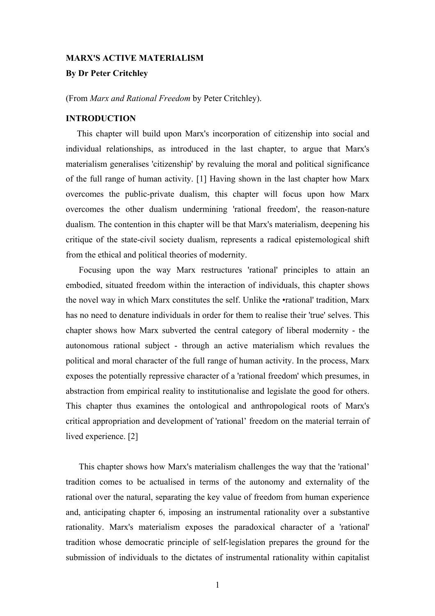## **MARX'S ACTIVE MATERIALISM**

# **By Dr Peter Critchley**

(From *Marx and Rational Freedom* by Peter Critchley).

## **INTRODUCTION**

This chapter will build upon Marx's incorporation of citizenship into social and individual relationships, as introduced in the last chapter, to argue that Marx's materialism generalises 'citizenship' by revaluing the moral and political significance of the full range of human activity. [1] Having shown in the last chapter how Marx overcomes the public-private dualism, this chapter will focus upon how Marx overcomes the other dualism undermining 'rational freedom', the reason-nature dualism. The contention in this chapter will be that Marx's materialism, deepening his critique of the state-civil society dualism, represents a radical epistemological shift from the ethical and political theories of modernity.

Focusing upon the way Marx restructures 'rational' principles to attain an embodied, situated freedom within the interaction of individuals, this chapter shows the novel way in which Marx constitutes the self. Unlike the •rational' tradition, Marx has no need to denature individuals in order for them to realise their 'true' selves. This chapter shows how Marx subverted the central category of liberal modernity - the autonomous rational subject - through an active materialism which revalues the political and moral character of the full range of human activity. In the process, Marx exposes the potentially repressive character of a 'rational freedom' which presumes, in abstraction from empirical reality to institutionalise and legislate the good for others. This chapter thus examines the ontological and anthropological roots of Marx's critical appropriation and development of 'rational' freedom on the material terrain of lived experience. [2]

This chapter shows how Marx's materialism challenges the way that the 'rational' tradition comes to be actualised in terms of the autonomy and externality of the rational over the natural, separating the key value of freedom from human experience and, anticipating chapter 6, imposing an instrumental rationality over a substantive rationality. Marx's materialism exposes the paradoxical character of a 'rational' tradition whose democratic principle of self-legislation prepares the ground for the submission of individuals to the dictates of instrumental rationality within capitalist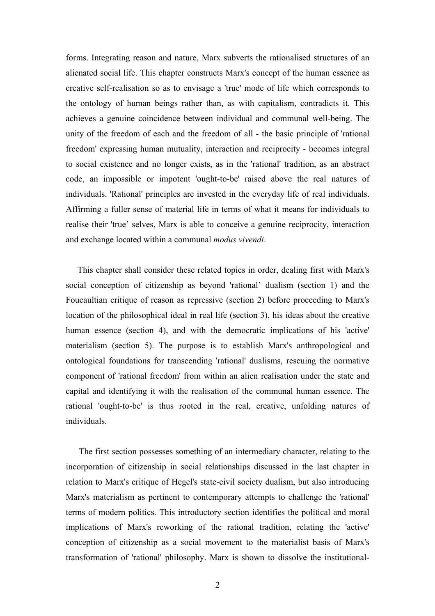forms. Integrating reason and nature, Marx subverts the rationalised structures of an alienated social life. This chapter constructs Marx's concept of the human essence as creative self-realisation so as to envisage a 'true' mode of life which corresponds to the ontology of human beings rather than, as with capitalism, contradicts it. This achieves a genuine coincidence between individual and communal well-being. The unity of the freedom of each and the freedom of all - the basic principle of 'rational freedom' expressing human mutuality, interaction and reciprocity - becomes integral to social existence and no longer exists, as in the 'rational' tradition, as an abstract code, an impossible or impotent 'ought-to-be' raised above the real natures of individuals. 'Rational' principles are invested in the everyday life of real individuals. Affirming a fuller sense of material life in terms of what it means for individuals to realise their 'true' selves, Marx is able to conceive a genuine reciprocity, interaction and exchange located within a communal *modus vivendi*.

This chapter shall consider these related topics in order, dealing first with Marx's social conception of citizenship as beyond 'rational' dualism (section 1) and the Foucaultian critique of reason as repressive (section 2) before proceeding to Marx's location of the philosophical ideal in real life (section 3), his ideas about the creative human essence (section 4), and with the democratic implications of his 'active' materialism (section 5). The purpose is to establish Marx's anthropological and ontological foundations for transcending 'rational' dualisms, rescuing the normative component of 'rational freedom' from within an alien realisation under the state and capital and identifying it with the realisation of the communal human essence. The rational 'ought-to-be' is thus rooted in the real, creative, unfolding natures of individuals.

The first section possesses something of an intermediary character, relating to the incorporation of citizenship in social relationships discussed in the last chapter in relation to Marx's critique of Hegel's state-civil society dualism, but also introducing Marx's materialism as pertinent to contemporary attempts to challenge the 'rational' terms of modern politics. This introductory section identifies the political and moral implications of Marx's reworking of the rational tradition, relating the 'active' conception of citizenship as a social movement to the materialist basis of Marx's transformation of 'rational' philosophy. Marx is shown to dissolve the institutional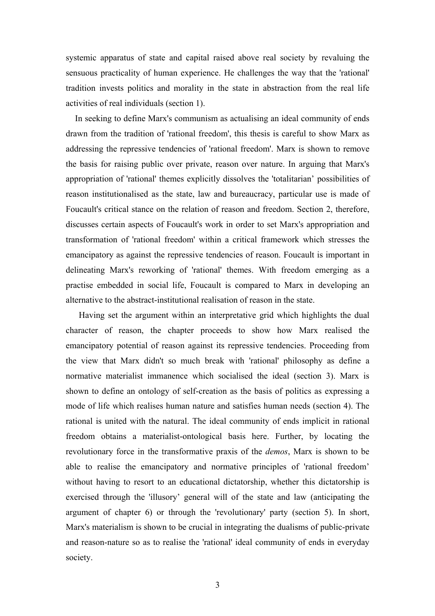systemic apparatus of state and capital raised above real society by revaluing the sensuous practicality of human experience. He challenges the way that the 'rational' tradition invests politics and morality in the state in abstraction from the real life activities of real individuals (section 1).

In seeking to define Marx's communism as actualising an ideal community of ends drawn from the tradition of 'rational freedom', this thesis is careful to show Marx as addressing the repressive tendencies of 'rational freedom'. Marx is shown to remove the basis for raising public over private, reason over nature. In arguing that Marx's appropriation of 'rational' themes explicitly dissolves the 'totalitarian' possibilities of reason institutionalised as the state, law and bureaucracy, particular use is made of Foucault's critical stance on the relation of reason and freedom. Section 2, therefore, discusses certain aspects of Foucault's work in order to set Marx's appropriation and transformation of 'rational freedom' within a critical framework which stresses the emancipatory as against the repressive tendencies of reason. Foucault is important in delineating Marx's reworking of 'rational' themes. With freedom emerging as a practise embedded in social life, Foucault is compared to Marx in developing an alternative to the abstract-institutional realisation of reason in the state.

Having set the argument within an interpretative grid which highlights the dual character of reason, the chapter proceeds to show how Marx realised the emancipatory potential of reason against its repressive tendencies. Proceeding from the view that Marx didn't so much break with 'rational' philosophy as define a normative materialist immanence which socialised the ideal (section 3). Marx is shown to define an ontology of self-creation as the basis of politics as expressing a mode of life which realises human nature and satisfies human needs (section 4). The rational is united with the natural. The ideal community of ends implicit in rational freedom obtains a materialist-ontological basis here. Further, by locating the revolutionary force in the transformative praxis of the *demos*, Marx is shown to be able to realise the emancipatory and normative principles of 'rational freedom' without having to resort to an educational dictatorship, whether this dictatorship is exercised through the 'illusory' general will of the state and law (anticipating the argument of chapter 6) or through the 'revolutionary' party (section 5). In short, Marx's materialism is shown to be crucial in integrating the dualisms of public-private and reason-nature so as to realise the 'rational' ideal community of ends in everyday society.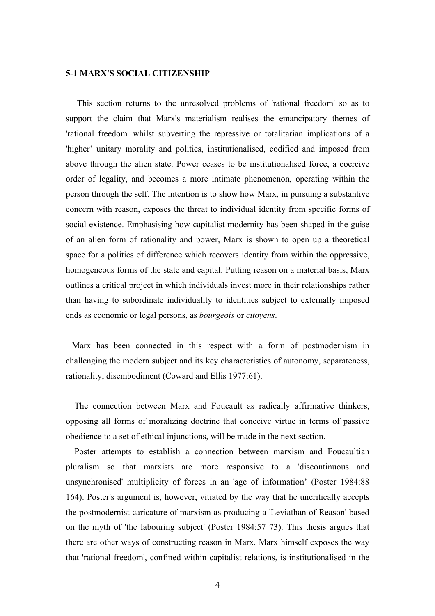#### **5-1 MARX'S SOCIAL CITIZENSHIP**

This section returns to the unresolved problems of 'rational freedom' so as to support the claim that Marx's materialism realises the emancipatory themes of 'rational freedom' whilst subverting the repressive or totalitarian implications of a 'higher' unitary morality and politics, institutionalised, codified and imposed from above through the alien state. Power ceases to be institutionalised force, a coercive order of legality, and becomes a more intimate phenomenon, operating within the person through the self. The intention is to show how Marx, in pursuing a substantive concern with reason, exposes the threat to individual identity from specific forms of social existence. Emphasising how capitalist modernity has been shaped in the guise of an alien form of rationality and power, Marx is shown to open up a theoretical space for a politics of difference which recovers identity from within the oppressive, homogeneous forms of the state and capital. Putting reason on a material basis, Marx outlines a critical project in which individuals invest more in their relationships rather than having to subordinate individuality to identities subject to externally imposed ends as economic or legal persons, as *bourgeois* or *citoyens*.

Marx has been connected in this respect with a form of postmodernism in challenging the modern subject and its key characteristics of autonomy, separateness, rationality, disembodiment (Coward and Ellis 1977:61).

The connection between Marx and Foucault as radically affirmative thinkers, opposing all forms of moralizing doctrine that conceive virtue in terms of passive obedience to a set of ethical injunctions, will be made in the next section.

Poster attempts to establish a connection between marxism and Foucaultian pluralism so that marxists are more responsive to a 'discontinuous and unsynchronised' multiplicity of forces in an 'age of information' (Poster 1984:88 164). Poster's argument is, however, vitiated by the way that he uncritically accepts the postmodernist caricature of marxism as producing a 'Leviathan of Reason' based on the myth of 'the labouring subject' (Poster 1984:57 73). This thesis argues that there are other ways of constructing reason in Marx. Marx himself exposes the way that 'rational freedom', confined within capitalist relations, is institutionalised in the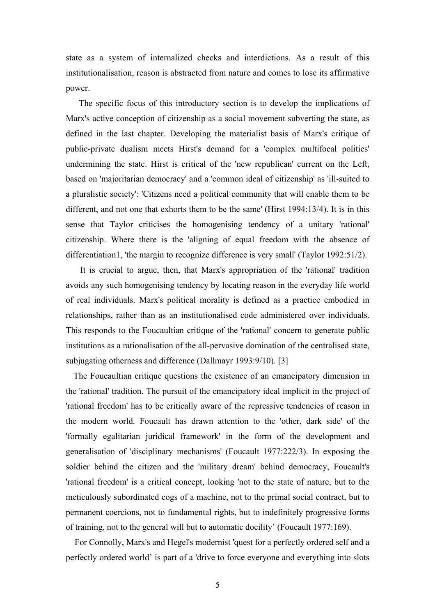state as a system of internalized checks and interdictions. As a result of this institutionalisation, reason is abstracted from nature and comes to lose its affirmative power.

The specific focus of this introductory section is to develop the implications of Marx's active conception of citizenship as a social movement subverting the state, as defined in the last chapter. Developing the materialist basis of Marx's critique of public-private dualism meets Hirst's demand for a 'complex multifocal polities' undermining the state. Hirst is critical of the 'new republican' current on the Left, based on 'majoritarian democracy' and a 'common ideal of citizenship' as 'ill-suited to a pluralistic society': 'Citizens need a political community that will enable them to be different, and not one that exhorts them to be the same' (Hirst 1994:13/4). It is in this sense that Taylor criticises the homogenising tendency of a unitary 'rational' citizenship. Where there is the 'aligning of equal freedom with the absence of differentiation1, 'the margin to recognize difference is very small' (Taylor 1992:51/2).

It is crucial to argue, then, that Marx's appropriation of the 'rational' tradition avoids any such homogenising tendency by locating reason in the everyday life world of real individuals. Marx's political morality is defined as a practice embodied in relationships, rather than as an institutionalised code administered over individuals. This responds to the Foucaultian critique of the 'rational' concern to generate public institutions as a rationalisation of the all-pervasive domination of the centralised state, subjugating otherness and difference (Dallmayr 1993:9/10). [3]

The Foucaultian critique questions the existence of an emancipatory dimension in the 'rational' tradition. The pursuit of the emancipatory ideal implicit in the project of 'rational freedom' has to be critically aware of the repressive tendencies of reason in the modern world. Foucault has drawn attention to the 'other, dark side' of the 'formally egalitarian juridical framework' in the form of the development and generalisation of 'disciplinary mechanisms' (Foucault 1977:222/3). In exposing the soldier behind the citizen and the 'military dream' behind democracy, Foucault's 'rational freedom' is a critical concept, looking 'not to the state of nature, but to the meticulously subordinated cogs of a machine, not to the primal social contract, but to permanent coercions, not to fundamental rights, but to indefinitely progressive forms of training, not to the general will but to automatic docility' (Foucault 1977:169).

For Connolly, Marx's and Hegel's modernist 'quest for a perfectly ordered self and a perfectly ordered world' is part of a 'drive to force everyone and everything into slots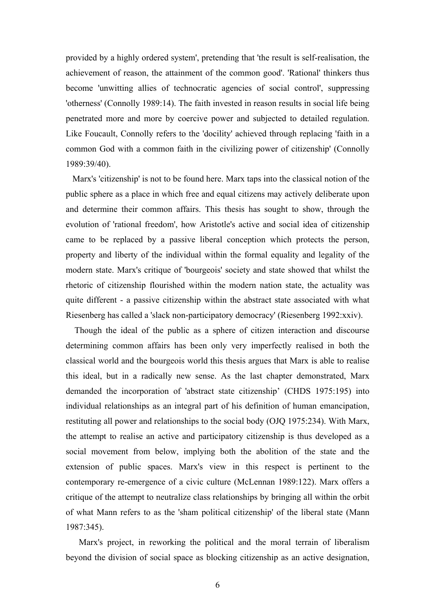provided by a highly ordered system', pretending that 'the result is self-realisation, the achievement of reason, the attainment of the common good'. 'Rational' thinkers thus become 'unwitting allies of technocratic agencies of social control', suppressing 'otherness' (Connolly 1989:14). The faith invested in reason results in social life being penetrated more and more by coercive power and subjected to detailed regulation. Like Foucault, Connolly refers to the 'docility' achieved through replacing 'faith in a common God with a common faith in the civilizing power of citizenship' (Connolly 1989:39/40).

Marx's 'citizenship' is not to be found here. Marx taps into the classical notion of the public sphere as a place in which free and equal citizens may actively deliberate upon and determine their common affairs. This thesis has sought to show, through the evolution of 'rational freedom', how Aristotle's active and social idea of citizenship came to be replaced by a passive liberal conception which protects the person, property and liberty of the individual within the formal equality and legality of the modern state. Marx's critique of 'bourgeois' society and state showed that whilst the rhetoric of citizenship flourished within the modern nation state, the actuality was quite different - a passive citizenship within the abstract state associated with what Riesenberg has called a 'slack non-participatory democracy' (Riesenberg 1992:xxiv).

Though the ideal of the public as a sphere of citizen interaction and discourse determining common affairs has been only very imperfectly realised in both the classical world and the bourgeois world this thesis argues that Marx is able to realise this ideal, but in a radically new sense. As the last chapter demonstrated, Marx demanded the incorporation of 'abstract state citizenship' (CHDS 1975:195) into individual relationships as an integral part of his definition of human emancipation, restituting all power and relationships to the social body (OJQ 1975:234). With Marx, the attempt to realise an active and participatory citizenship is thus developed as a social movement from below, implying both the abolition of the state and the extension of public spaces. Marx's view in this respect is pertinent to the contemporary re-emergence of a civic culture (McLennan 1989:122). Marx offers a critique of the attempt to neutralize class relationships by bringing all within the orbit of what Mann refers to as the 'sham political citizenship' of the liberal state (Mann 1987:345).

Marx's project, in reworking the political and the moral terrain of liberalism beyond the division of social space as blocking citizenship as an active designation,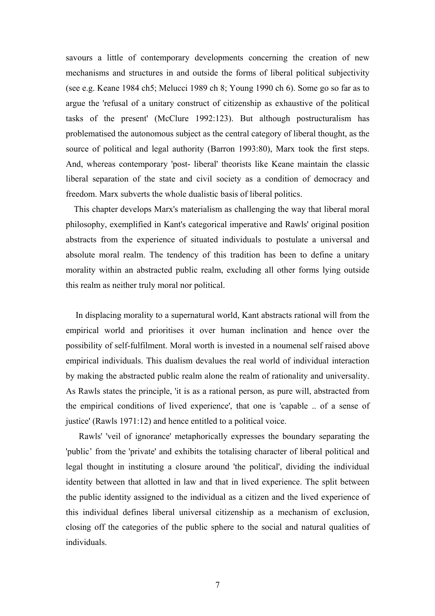savours a little of contemporary developments concerning the creation of new mechanisms and structures in and outside the forms of liberal political subjectivity (see e.g. Keane 1984 ch5; Melucci 1989 ch 8; Young 1990 ch 6). Some go so far as to argue the 'refusal of a unitary construct of citizenship as exhaustive of the political tasks of the present' (McClure 1992:123). But although postructuralism has problematised the autonomous subject as the central category of liberal thought, as the source of political and legal authority (Barron 1993:80), Marx took the first steps. And, whereas contemporary 'post- liberal' theorists like Keane maintain the classic liberal separation of the state and civil society as a condition of democracy and freedom. Marx subverts the whole dualistic basis of liberal politics.

This chapter develops Marx's materialism as challenging the way that liberal moral philosophy, exemplified in Kant's categorical imperative and Rawls' original position abstracts from the experience of situated individuals to postulate a universal and absolute moral realm. The tendency of this tradition has been to define a unitary morality within an abstracted public realm, excluding all other forms lying outside this realm as neither truly moral nor political.

In displacing morality to a supernatural world, Kant abstracts rational will from the empirical world and prioritises it over human inclination and hence over the possibility of self-fulfilment. Moral worth is invested in a noumenal self raised above empirical individuals. This dualism devalues the real world of individual interaction by making the abstracted public realm alone the realm of rationality and universality. As Rawls states the principle, 'it is as a rational person, as pure will, abstracted from the empirical conditions of lived experience', that one is 'capable .. of a sense of justice' (Rawls 1971:12) and hence entitled to a political voice.

Rawls' 'veil of ignorance' metaphorically expresses the boundary separating the 'public' from the 'private' and exhibits the totalising character of liberal political and legal thought in instituting a closure around 'the political', dividing the individual identity between that allotted in law and that in lived experience. The split between the public identity assigned to the individual as a citizen and the lived experience of this individual defines liberal universal citizenship as a mechanism of exclusion, closing off the categories of the public sphere to the social and natural qualities of individuals.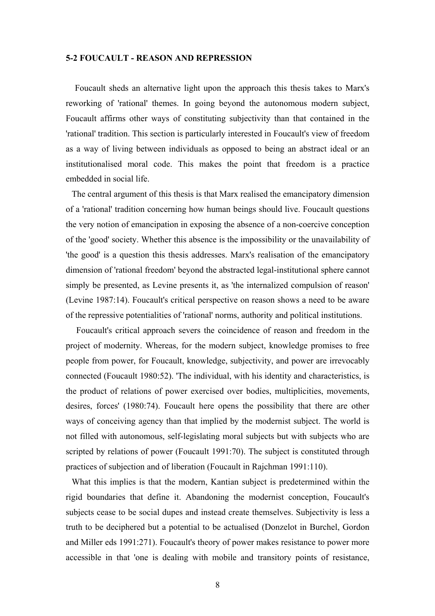#### **5-2 FOUCAULT - REASON AND REPRESSION**

Foucault sheds an alternative light upon the approach this thesis takes to Marx's reworking of 'rational' themes. In going beyond the autonomous modern subject, Foucault affirms other ways of constituting subjectivity than that contained in the 'rational' tradition. This section is particularly interested in Foucault's view of freedom as a way of living between individuals as opposed to being an abstract ideal or an institutionalised moral code. This makes the point that freedom is a practice embedded in social life.

The central argument of this thesis is that Marx realised the emancipatory dimension of a 'rational' tradition concerning how human beings should live. Foucault questions the very notion of emancipation in exposing the absence of a non-coercive conception of the 'good' society. Whether this absence is the impossibility or the unavailability of 'the good' is a question this thesis addresses. Marx's realisation of the emancipatory dimension of 'rational freedom' beyond the abstracted legal-institutional sphere cannot simply be presented, as Levine presents it, as 'the internalized compulsion of reason' (Levine 1987:14). Foucault's critical perspective on reason shows a need to be aware of the repressive potentialities of 'rational' norms, authority and political institutions.

Foucault's critical approach severs the coincidence of reason and freedom in the project of modernity. Whereas, for the modern subject, knowledge promises to free people from power, for Foucault, knowledge, subjectivity, and power are irrevocably connected (Foucault 1980:52). 'The individual, with his identity and characteristics, is the product of relations of power exercised over bodies, multiplicities, movements, desires, forces' (1980:74). Foucault here opens the possibility that there are other ways of conceiving agency than that implied by the modernist subject. The world is not filled with autonomous, self-legislating moral subjects but with subjects who are scripted by relations of power (Foucault 1991:70). The subject is constituted through practices of subjection and of liberation (Foucault in Rajchman 1991:110).

What this implies is that the modern, Kantian subject is predetermined within the rigid boundaries that define it. Abandoning the modernist conception, Foucault's subjects cease to be social dupes and instead create themselves. Subjectivity is less a truth to be deciphered but a potential to be actualised (Donzelot in Burchel, Gordon and Miller eds 1991:271). Foucault's theory of power makes resistance to power more accessible in that 'one is dealing with mobile and transitory points of resistance,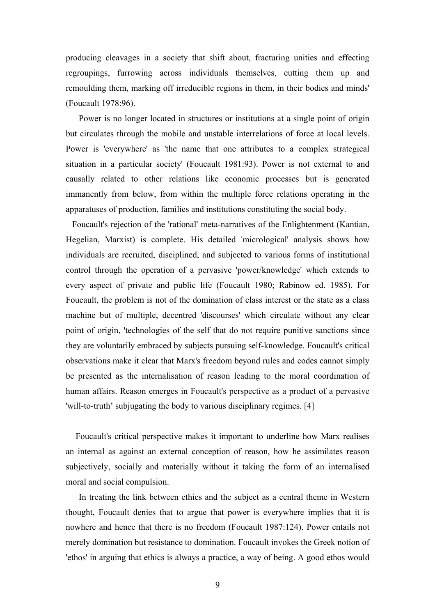producing cleavages in a society that shift about, fracturing unities and effecting regroupings, furrowing across individuals themselves, cutting them up and remoulding them, marking off irreducible regions in them, in their bodies and minds' (Foucault 1978:96).

Power is no longer located in structures or institutions at a single point of origin but circulates through the mobile and unstable interrelations of force at local levels. Power is 'everywhere' as 'the name that one attributes to a complex strategical situation in a particular society' (Foucault 1981:93). Power is not external to and causally related to other relations like economic processes but is generated immanently from below, from within the multiple force relations operating in the apparatuses of production, families and institutions constituting the social body.

Foucault's rejection of the 'rational' meta-narratives of the Enlightenment (Kantian, Hegelian, Marxist) is complete. His detailed 'micrological' analysis shows how individuals are recruited, disciplined, and subjected to various forms of institutional control through the operation of a pervasive 'power/knowledge' which extends to every aspect of private and public life (Foucault 1980; Rabinow ed. 1985). For Foucault, the problem is not of the domination of class interest or the state as a class machine but of multiple, decentred 'discourses' which circulate without any clear point of origin, 'technologies of the self that do not require punitive sanctions since they are voluntarily embraced by subjects pursuing self-knowledge. Foucault's critical observations make it clear that Marx's freedom beyond rules and codes cannot simply be presented as the internalisation of reason leading to the moral coordination of human affairs. Reason emerges in Foucault's perspective as a product of a pervasive 'will-to-truth' subjugating the body to various disciplinary regimes. [4]

Foucault's critical perspective makes it important to underline how Marx realises an internal as against an external conception of reason, how he assimilates reason subjectively, socially and materially without it taking the form of an internalised moral and social compulsion.

In treating the link between ethics and the subject as a central theme in Western thought, Foucault denies that to argue that power is everywhere implies that it is nowhere and hence that there is no freedom (Foucault 1987:124). Power entails not merely domination but resistance to domination. Foucault invokes the Greek notion of 'ethos' in arguing that ethics is always a practice, a way of being. A good ethos would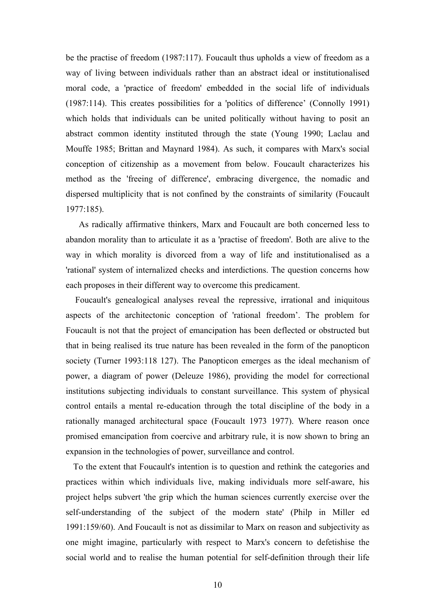be the practise of freedom (1987:117). Foucault thus upholds a view of freedom as a way of living between individuals rather than an abstract ideal or institutionalised moral code, a 'practice of freedom' embedded in the social life of individuals (1987:114). This creates possibilities for a 'politics of difference' (Connolly 1991) which holds that individuals can be united politically without having to posit an abstract common identity instituted through the state (Young 1990; Laclau and Mouffe 1985; Brittan and Maynard 1984). As such, it compares with Marx's social conception of citizenship as a movement from below. Foucault characterizes his method as the 'freeing of difference', embracing divergence, the nomadic and dispersed multiplicity that is not confined by the constraints of similarity (Foucault 1977:185).

As radically affirmative thinkers, Marx and Foucault are both concerned less to abandon morality than to articulate it as a 'practise of freedom'. Both are alive to the way in which morality is divorced from a way of life and institutionalised as a 'rational' system of internalized checks and interdictions. The question concerns how each proposes in their different way to overcome this predicament.

Foucault's genealogical analyses reveal the repressive, irrational and iniquitous aspects of the architectonic conception of 'rational freedom'. The problem for Foucault is not that the project of emancipation has been deflected or obstructed but that in being realised its true nature has been revealed in the form of the panopticon society (Turner 1993:118 127). The Panopticon emerges as the ideal mechanism of power, a diagram of power (Deleuze 1986), providing the model for correctional institutions subjecting individuals to constant surveillance. This system of physical control entails a mental re-education through the total discipline of the body in a rationally managed architectural space (Foucault 1973 1977). Where reason once promised emancipation from coercive and arbitrary rule, it is now shown to bring an expansion in the technologies of power, surveillance and control.

To the extent that Foucault's intention is to question and rethink the categories and practices within which individuals live, making individuals more self-aware, his project helps subvert 'the grip which the human sciences currently exercise over the self-understanding of the subject of the modern state' (Philp in Miller ed 1991:159/60). And Foucault is not as dissimilar to Marx on reason and subjectivity as one might imagine, particularly with respect to Marx's concern to defetishise the social world and to realise the human potential for self-definition through their life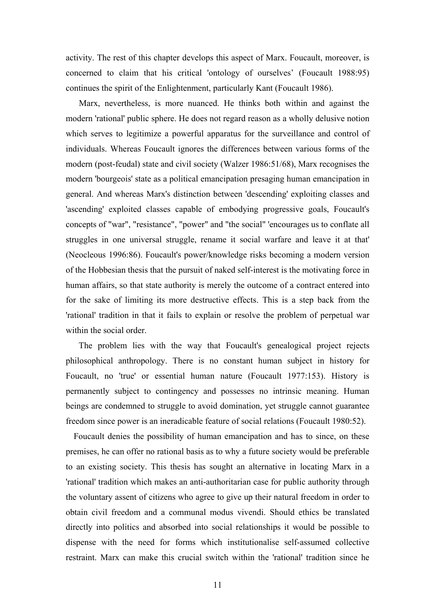activity. The rest of this chapter develops this aspect of Marx. Foucault, moreover, is concerned to claim that his critical 'ontology of ourselves' (Foucault 1988:95) continues the spirit of the Enlightenment, particularly Kant (Foucault 1986).

Marx, nevertheless, is more nuanced. He thinks both within and against the modern 'rational' public sphere. He does not regard reason as a wholly delusive notion which serves to legitimize a powerful apparatus for the surveillance and control of individuals. Whereas Foucault ignores the differences between various forms of the modern (post-feudal) state and civil society (Walzer 1986:51/68), Marx recognises the modern 'bourgeois' state as a political emancipation presaging human emancipation in general. And whereas Marx's distinction between 'descending' exploiting classes and 'ascending' exploited classes capable of embodying progressive goals, Foucault's concepts of "war", "resistance", "power" and "the social" 'encourages us to conflate all struggles in one universal struggle, rename it social warfare and leave it at that' (Neocleous 1996:86). Foucault's power/knowledge risks becoming a modern version of the Hobbesian thesis that the pursuit of naked self-interest is the motivating force in human affairs, so that state authority is merely the outcome of a contract entered into for the sake of limiting its more destructive effects. This is a step back from the 'rational' tradition in that it fails to explain or resolve the problem of perpetual war within the social order.

The problem lies with the way that Foucault's genealogical project rejects philosophical anthropology. There is no constant human subject in history for Foucault, no 'true' or essential human nature (Foucault 1977:153). History is permanently subject to contingency and possesses no intrinsic meaning. Human beings are condemned to struggle to avoid domination, yet struggle cannot guarantee freedom since power is an ineradicable feature of social relations (Foucault 1980:52).

Foucault denies the possibility of human emancipation and has to since, on these premises, he can offer no rational basis as to why a future society would be preferable to an existing society. This thesis has sought an alternative in locating Marx in a 'rational' tradition which makes an anti-authoritarian case for public authority through the voluntary assent of citizens who agree to give up their natural freedom in order to obtain civil freedom and a communal modus vivendi. Should ethics be translated directly into politics and absorbed into social relationships it would be possible to dispense with the need for forms which institutionalise self-assumed collective restraint. Marx can make this crucial switch within the 'rational' tradition since he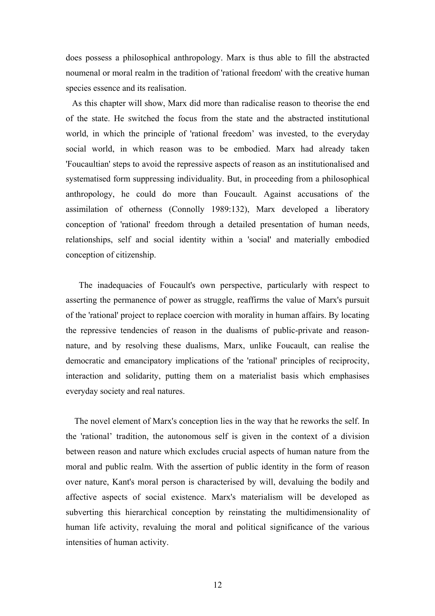does possess a philosophical anthropology. Marx is thus able to fill the abstracted noumenal or moral realm in the tradition of 'rational freedom' with the creative human species essence and its realisation.

As this chapter will show, Marx did more than radicalise reason to theorise the end of the state. He switched the focus from the state and the abstracted institutional world, in which the principle of 'rational freedom' was invested, to the everyday social world, in which reason was to be embodied. Marx had already taken 'Foucaultian' steps to avoid the repressive aspects of reason as an institutionalised and systematised form suppressing individuality. But, in proceeding from a philosophical anthropology, he could do more than Foucault. Against accusations of the assimilation of otherness (Connolly 1989:132), Marx developed a liberatory conception of 'rational' freedom through a detailed presentation of human needs, relationships, self and social identity within a 'social' and materially embodied conception of citizenship.

The inadequacies of Foucault's own perspective, particularly with respect to asserting the permanence of power as struggle, reaffirms the value of Marx's pursuit of the 'rational' project to replace coercion with morality in human affairs. By locating the repressive tendencies of reason in the dualisms of public-private and reasonnature, and by resolving these dualisms, Marx, unlike Foucault, can realise the democratic and emancipatory implications of the 'rational' principles of reciprocity, interaction and solidarity, putting them on a materialist basis which emphasises everyday society and real natures.

The novel element of Marx's conception lies in the way that he reworks the self. In the 'rational' tradition, the autonomous self is given in the context of a division between reason and nature which excludes crucial aspects of human nature from the moral and public realm. With the assertion of public identity in the form of reason over nature, Kant's moral person is characterised by will, devaluing the bodily and affective aspects of social existence. Marx's materialism will be developed as subverting this hierarchical conception by reinstating the multidimensionality of human life activity, revaluing the moral and political significance of the various intensities of human activity.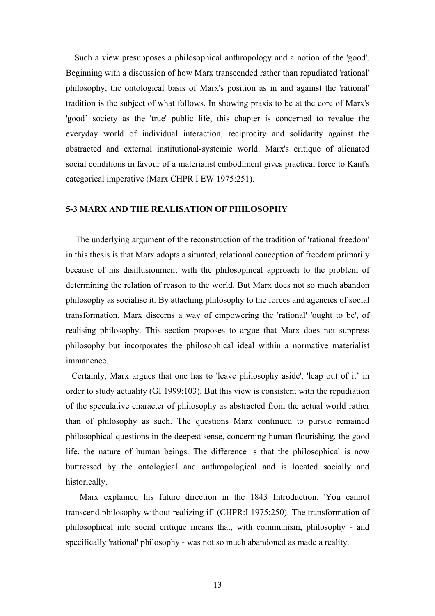Such a view presupposes a philosophical anthropology and a notion of the 'good'. Beginning with a discussion of how Marx transcended rather than repudiated 'rational' philosophy, the ontological basis of Marx's position as in and against the 'rational' tradition is the subject of what follows. In showing praxis to be at the core of Marx's 'good' society as the 'true' public life, this chapter is concerned to revalue the everyday world of individual interaction, reciprocity and solidarity against the abstracted and external institutional-systemic world. Marx's critique of alienated social conditions in favour of a materialist embodiment gives practical force to Kant's categorical imperative (Marx CHPR I EW 1975:251).

## **5-3 MARX AND THE REALISATION OF PHILOSOPHY**

The underlying argument of the reconstruction of the tradition of 'rational freedom' in this thesis is that Marx adopts a situated, relational conception of freedom primarily because of his disillusionment with the philosophical approach to the problem of determining the relation of reason to the world. But Marx does not so much abandon philosophy as socialise it. By attaching philosophy to the forces and agencies of social transformation, Marx discerns a way of empowering the 'rational' 'ought to be', of realising philosophy. This section proposes to argue that Marx does not suppress philosophy but incorporates the philosophical ideal within a normative materialist immanence.

Certainly, Marx argues that one has to 'leave philosophy aside', 'leap out of it' in order to study actuality (GI 1999:103). But this view is consistent with the repudiation of the speculative character of philosophy as abstracted from the actual world rather than of philosophy as such. The questions Marx continued to pursue remained philosophical questions in the deepest sense, concerning human flourishing, the good life, the nature of human beings. The difference is that the philosophical is now buttressed by the ontological and anthropological and is located socially and historically.

Marx explained his future direction in the 1843 Introduction. 'You cannot transcend philosophy without realizing if' (CHPR:I 1975:250). The transformation of philosophical into social critique means that, with communism, philosophy - and specifically 'rational' philosophy - was not so much abandoned as made a reality.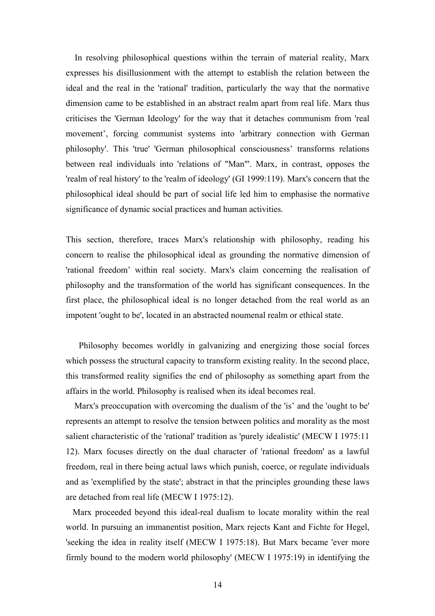In resolving philosophical questions within the terrain of material reality, Marx expresses his disillusionment with the attempt to establish the relation between the ideal and the real in the 'rational' tradition, particularly the way that the normative dimension came to be established in an abstract realm apart from real life. Marx thus criticises the 'German Ideology' for the way that it detaches communism from 'real movement', forcing communist systems into 'arbitrary connection with German philosophy'. This 'true' 'German philosophical consciousness' transforms relations between real individuals into 'relations of "Man"'. Marx, in contrast, opposes the 'realm of real history' to the 'realm of ideology' (GI 1999:119). Marx's concern that the philosophical ideal should be part of social life led him to emphasise the normative significance of dynamic social practices and human activities.

This section, therefore, traces Marx's relationship with philosophy, reading his concern to realise the philosophical ideal as grounding the normative dimension of 'rational freedom' within real society. Marx's claim concerning the realisation of philosophy and the transformation of the world has significant consequences. In the first place, the philosophical ideal is no longer detached from the real world as an impotent 'ought to be', located in an abstracted noumenal realm or ethical state.

Philosophy becomes worldly in galvanizing and energizing those social forces which possess the structural capacity to transform existing reality. In the second place, this transformed reality signifies the end of philosophy as something apart from the affairs in the world. Philosophy is realised when its ideal becomes real.

Marx's preoccupation with overcoming the dualism of the 'is' and the 'ought to be' represents an attempt to resolve the tension between politics and morality as the most salient characteristic of the 'rational' tradition as 'purely idealistic' (MECW I 1975:11 12). Marx focuses directly on the dual character of 'rational freedom' as a lawful freedom, real in there being actual laws which punish, coerce, or regulate individuals and as 'exemplified by the state'; abstract in that the principles grounding these laws are detached from real life (MECW I 1975:12).

Marx proceeded beyond this ideal-real dualism to locate morality within the real world. In pursuing an immanentist position, Marx rejects Kant and Fichte for Hegel, 'seeking the idea in reality itself (MECW I 1975:18). But Marx became 'ever more firmly bound to the modern world philosophy' (MECW I 1975:19) in identifying the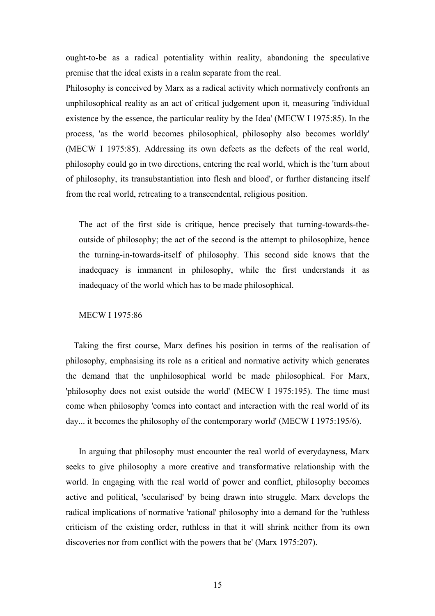ought-to-be as a radical potentiality within reality, abandoning the speculative premise that the ideal exists in a realm separate from the real.

Philosophy is conceived by Marx as a radical activity which normatively confronts an unphilosophical reality as an act of critical judgement upon it, measuring 'individual existence by the essence, the particular reality by the Idea' (MECW I 1975:85). In the process, 'as the world becomes philosophical, philosophy also becomes worldly' (MECW I 1975:85). Addressing its own defects as the defects of the real world, philosophy could go in two directions, entering the real world, which is the 'turn about of philosophy, its transubstantiation into flesh and blood', or further distancing itself from the real world, retreating to a transcendental, religious position.

The act of the first side is critique, hence precisely that turning-towards-theoutside of philosophy; the act of the second is the attempt to philosophize, hence the turning-in-towards-itself of philosophy. This second side knows that the inadequacy is immanent in philosophy, while the first understands it as inadequacy of the world which has to be made philosophical.

## MECW I 1975:86

Taking the first course, Marx defines his position in terms of the realisation of philosophy, emphasising its role as a critical and normative activity which generates the demand that the unphilosophical world be made philosophical. For Marx, 'philosophy does not exist outside the world' (MECW I 1975:195). The time must come when philosophy 'comes into contact and interaction with the real world of its day... it becomes the philosophy of the contemporary world' (MECW I 1975:195/6).

In arguing that philosophy must encounter the real world of everydayness, Marx seeks to give philosophy a more creative and transformative relationship with the world. In engaging with the real world of power and conflict, philosophy becomes active and political, 'secularised' by being drawn into struggle. Marx develops the radical implications of normative 'rational' philosophy into a demand for the 'ruthless criticism of the existing order, ruthless in that it will shrink neither from its own discoveries nor from conflict with the powers that be' (Marx 1975:207).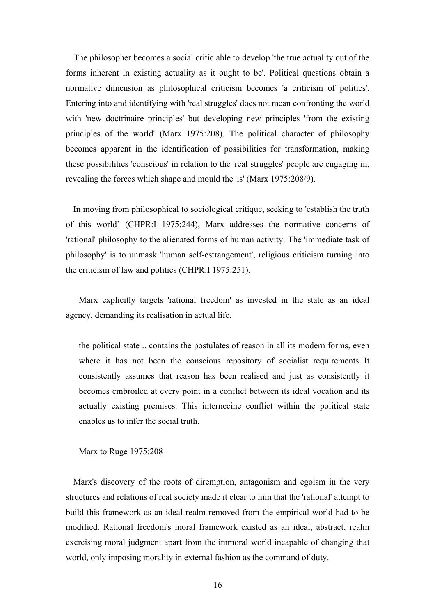The philosopher becomes a social critic able to develop 'the true actuality out of the forms inherent in existing actuality as it ought to be'. Political questions obtain a normative dimension as philosophical criticism becomes 'a criticism of politics'. Entering into and identifying with 'real struggles' does not mean confronting the world with 'new doctrinaire principles' but developing new principles 'from the existing principles of the world' (Marx 1975:208). The political character of philosophy becomes apparent in the identification of possibilities for transformation, making these possibilities 'conscious' in relation to the 'real struggles' people are engaging in, revealing the forces which shape and mould the 'is' (Marx 1975:208/9).

In moving from philosophical to sociological critique, seeking to 'establish the truth of this world' (CHPR:I 1975:244), Marx addresses the normative concerns of 'rational' philosophy to the alienated forms of human activity. The 'immediate task of philosophy' is to unmask 'human self-estrangement', religious criticism turning into the criticism of law and politics (CHPR:I 1975:251).

Marx explicitly targets 'rational freedom' as invested in the state as an ideal agency, demanding its realisation in actual life.

the political state .. contains the postulates of reason in all its modern forms, even where it has not been the conscious repository of socialist requirements It consistently assumes that reason has been realised and just as consistently it becomes embroiled at every point in a conflict between its ideal vocation and its actually existing premises. This internecine conflict within the political state enables us to infer the social truth.

Marx to Ruge 1975:208

Marx's discovery of the roots of diremption, antagonism and egoism in the very structures and relations of real society made it clear to him that the 'rational' attempt to build this framework as an ideal realm removed from the empirical world had to be modified. Rational freedom's moral framework existed as an ideal, abstract, realm exercising moral judgment apart from the immoral world incapable of changing that world, only imposing morality in external fashion as the command of duty.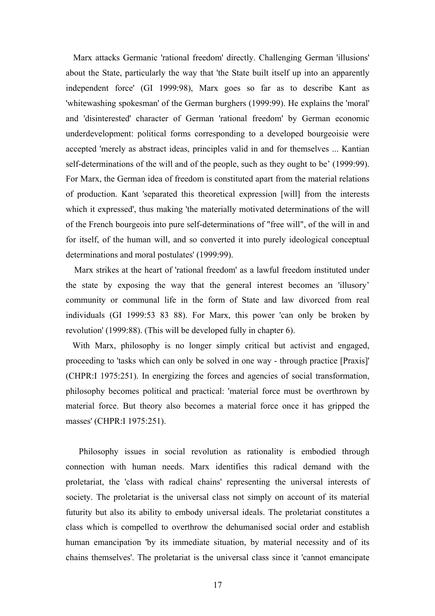Marx attacks Germanic 'rational freedom' directly. Challenging German 'illusions' about the State, particularly the way that 'the State built itself up into an apparently independent force' (GI 1999:98), Marx goes so far as to describe Kant as 'whitewashing spokesman' of the German burghers (1999:99). He explains the 'moral' and 'disinterested' character of German 'rational freedom' by German economic underdevelopment: political forms corresponding to a developed bourgeoisie were accepted 'merely as abstract ideas, principles valid in and for themselves ... Kantian self-determinations of the will and of the people, such as they ought to be' (1999:99). For Marx, the German idea of freedom is constituted apart from the material relations of production. Kant 'separated this theoretical expression [will] from the interests which it expressed', thus making 'the materially motivated determinations of the will of the French bourgeois into pure self-determinations of "free will", of the will in and for itself, of the human will, and so converted it into purely ideological conceptual determinations and moral postulates' (1999:99).

Marx strikes at the heart of 'rational freedom' as a lawful freedom instituted under the state by exposing the way that the general interest becomes an 'illusory' community or communal life in the form of State and law divorced from real individuals (GI 1999:53 83 88). For Marx, this power 'can only be broken by revolution' (1999:88). (This will be developed fully in chapter 6).

With Marx, philosophy is no longer simply critical but activist and engaged, proceeding to 'tasks which can only be solved in one way - through practice [Praxis]' (CHPR:I 1975:251). In energizing the forces and agencies of social transformation, philosophy becomes political and practical: 'material force must be overthrown by material force. But theory also becomes a material force once it has gripped the masses' (CHPR:I 1975:251).

Philosophy issues in social revolution as rationality is embodied through connection with human needs. Marx identifies this radical demand with the proletariat, the 'class with radical chains' representing the universal interests of society. The proletariat is the universal class not simply on account of its material futurity but also its ability to embody universal ideals. The proletariat constitutes a class which is compelled to overthrow the dehumanised social order and establish human emancipation 'by its immediate situation, by material necessity and of its chains themselves'. The proletariat is the universal class since it 'cannot emancipate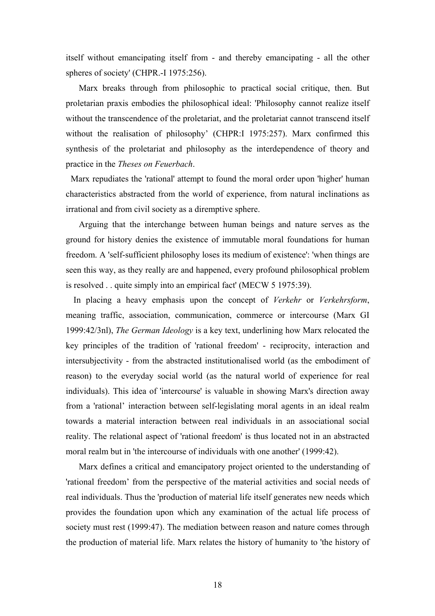itself without emancipating itself from - and thereby emancipating - all the other spheres of society' (CHPR.-I 1975:256).

Marx breaks through from philosophic to practical social critique, then. But proletarian praxis embodies the philosophical ideal: 'Philosophy cannot realize itself without the transcendence of the proletariat, and the proletariat cannot transcend itself without the realisation of philosophy' (CHPR: I 1975:257). Marx confirmed this synthesis of the proletariat and philosophy as the interdependence of theory and practice in the *Theses on Feuerbach*.

Marx repudiates the 'rational' attempt to found the moral order upon 'higher' human characteristics abstracted from the world of experience, from natural inclinations as irrational and from civil society as a diremptive sphere.

Arguing that the interchange between human beings and nature serves as the ground for history denies the existence of immutable moral foundations for human freedom. A 'self-sufficient philosophy loses its medium of existence': 'when things are seen this way, as they really are and happened, every profound philosophical problem is resolved . . quite simply into an empirical fact' (MECW 5 1975:39).

In placing a heavy emphasis upon the concept of *Verkehr* or *Verkehrsform*, meaning traffic, association, communication, commerce or intercourse (Marx GI 1999:42/3nl), *The German Ideology* is a key text, underlining how Marx relocated the key principles of the tradition of 'rational freedom' - reciprocity, interaction and intersubjectivity - from the abstracted institutionalised world (as the embodiment of reason) to the everyday social world (as the natural world of experience for real individuals). This idea of 'intercourse' is valuable in showing Marx's direction away from a 'rational' interaction between self-legislating moral agents in an ideal realm towards a material interaction between real individuals in an associational social reality. The relational aspect of 'rational freedom' is thus located not in an abstracted moral realm but in 'the intercourse of individuals with one another' (1999:42).

Marx defines a critical and emancipatory project oriented to the understanding of 'rational freedom' from the perspective of the material activities and social needs of real individuals. Thus the 'production of material life itself generates new needs which provides the foundation upon which any examination of the actual life process of society must rest (1999:47). The mediation between reason and nature comes through the production of material life. Marx relates the history of humanity to 'the history of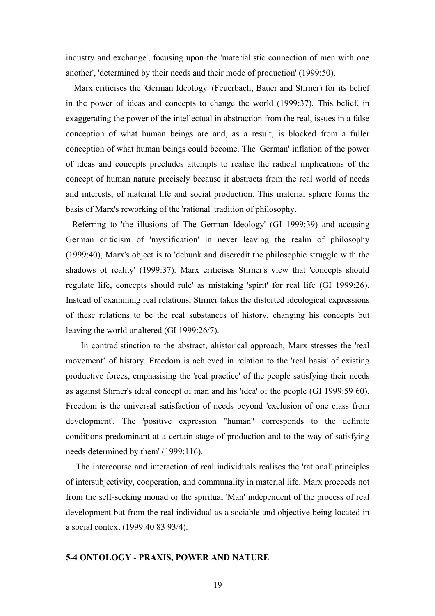industry and exchange', focusing upon the 'materialistic connection of men with one another', 'determined by their needs and their mode of production' (1999:50).

Marx criticises the 'German Ideology' (Feuerbach, Bauer and Stirner) for its belief in the power of ideas and concepts to change the world (1999:37). This belief, in exaggerating the power of the intellectual in abstraction from the real, issues in a false conception of what human beings are and, as a result, is blocked from a fuller conception of what human beings could become. The 'German' inflation of the power of ideas and concepts precludes attempts to realise the radical implications of the concept of human nature precisely because it abstracts from the real world of needs and interests, of material life and social production. This material sphere forms the basis of Marx's reworking of the 'rational' tradition of philosophy.

Referring to 'the illusions of The German Ideology' (GI 1999:39) and accusing German criticism of 'mystification' in never leaving the realm of philosophy (1999:40), Marx's object is to 'debunk and discredit the philosophic struggle with the shadows of reality' (1999:37). Marx criticises Stirner's view that 'concepts should regulate life, concepts should rule' as mistaking 'spirit' for real life (GI 1999:26). Instead of examining real relations, Stirner takes the distorted ideological expressions of these relations to be the real substances of history, changing his concepts but leaving the world unaltered (GI 1999:26/7).

In contradistinction to the abstract, ahistorical approach, Marx stresses the 'real movement' of history. Freedom is achieved in relation to the 'real basis' of existing productive forces, emphasising the 'real practice' of the people satisfying their needs as against Stirner's ideal concept of man and his 'idea' of the people (GI 1999:59 60). Freedom is the universal satisfaction of needs beyond 'exclusion of one class from development'. The 'positive expression "human" corresponds to the definite conditions predominant at a certain stage of production and to the way of satisfying needs determined by them' (1999:116).

The intercourse and interaction of real individuals realises the 'rational' principles of intersubjectivity, cooperation, and communality in material life. Marx proceeds not from the self-seeking monad or the spiritual 'Man' independent of the process of real development but from the real individual as a sociable and objective being located in a social context (1999:40 83 93/4).

# **5-4 ONTOLOGY - PRAXIS, POWER AND NATURE**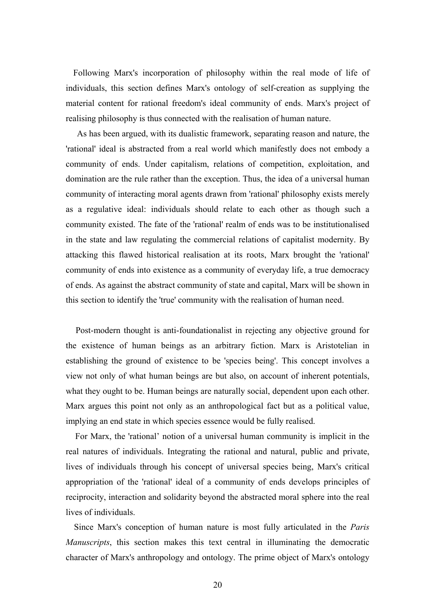Following Marx's incorporation of philosophy within the real mode of life of individuals, this section defines Marx's ontology of self-creation as supplying the material content for rational freedom's ideal community of ends. Marx's project of realising philosophy is thus connected with the realisation of human nature.

As has been argued, with its dualistic framework, separating reason and nature, the 'rational' ideal is abstracted from a real world which manifestly does not embody a community of ends. Under capitalism, relations of competition, exploitation, and domination are the rule rather than the exception. Thus, the idea of a universal human community of interacting moral agents drawn from 'rational' philosophy exists merely as a regulative ideal: individuals should relate to each other as though such a community existed. The fate of the 'rational' realm of ends was to be institutionalised in the state and law regulating the commercial relations of capitalist modernity. By attacking this flawed historical realisation at its roots, Marx brought the 'rational' community of ends into existence as a community of everyday life, a true democracy of ends. As against the abstract community of state and capital, Marx will be shown in this section to identify the 'true' community with the realisation of human need.

Post-modern thought is anti-foundationalist in rejecting any objective ground for the existence of human beings as an arbitrary fiction. Marx is Aristotelian in establishing the ground of existence to be 'species being'. This concept involves a view not only of what human beings are but also, on account of inherent potentials, what they ought to be. Human beings are naturally social, dependent upon each other. Marx argues this point not only as an anthropological fact but as a political value, implying an end state in which species essence would be fully realised.

For Marx, the 'rational' notion of a universal human community is implicit in the real natures of individuals. Integrating the rational and natural, public and private, lives of individuals through his concept of universal species being, Marx's critical appropriation of the 'rational' ideal of a community of ends develops principles of reciprocity, interaction and solidarity beyond the abstracted moral sphere into the real lives of individuals.

Since Marx's conception of human nature is most fully articulated in the *Paris Manuscripts*, this section makes this text central in illuminating the democratic character of Marx's anthropology and ontology. The prime object of Marx's ontology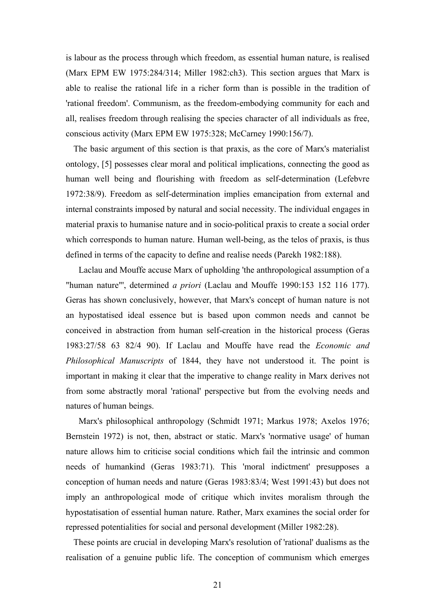is labour as the process through which freedom, as essential human nature, is realised (Marx EPM EW 1975:284/314; Miller 1982:ch3). This section argues that Marx is able to realise the rational life in a richer form than is possible in the tradition of 'rational freedom'. Communism, as the freedom-embodying community for each and all, realises freedom through realising the species character of all individuals as free, conscious activity (Marx EPM EW 1975:328; McCarney 1990:156/7).

The basic argument of this section is that praxis, as the core of Marx's materialist ontology, [5] possesses clear moral and political implications, connecting the good as human well being and flourishing with freedom as self-determination (Lefebvre 1972:38/9). Freedom as self-determination implies emancipation from external and internal constraints imposed by natural and social necessity. The individual engages in material praxis to humanise nature and in socio-political praxis to create a social order which corresponds to human nature. Human well-being, as the telos of praxis, is thus defined in terms of the capacity to define and realise needs (Parekh 1982:188).

Laclau and Mouffe accuse Marx of upholding 'the anthropological assumption of a "human nature"', determined *a priori* (Laclau and Mouffe 1990:153 152 116 177). Geras has shown conclusively, however, that Marx's concept of human nature is not an hypostatised ideal essence but is based upon common needs and cannot be conceived in abstraction from human self-creation in the historical process (Geras 1983:27/58 63 82/4 90). If Laclau and Mouffe have read the *Economic and Philosophical Manuscripts* of 1844, they have not understood it. The point is important in making it clear that the imperative to change reality in Marx derives not from some abstractly moral 'rational' perspective but from the evolving needs and natures of human beings.

Marx's philosophical anthropology (Schmidt 1971; Markus 1978; Axelos 1976; Bernstein 1972) is not, then, abstract or static. Marx's 'normative usage' of human nature allows him to criticise social conditions which fail the intrinsic and common needs of humankind (Geras 1983:71). This 'moral indictment' presupposes a conception of human needs and nature (Geras 1983:83/4; West 1991:43) but does not imply an anthropological mode of critique which invites moralism through the hypostatisation of essential human nature. Rather, Marx examines the social order for repressed potentialities for social and personal development (Miller 1982:28).

These points are crucial in developing Marx's resolution of 'rational' dualisms as the realisation of a genuine public life. The conception of communism which emerges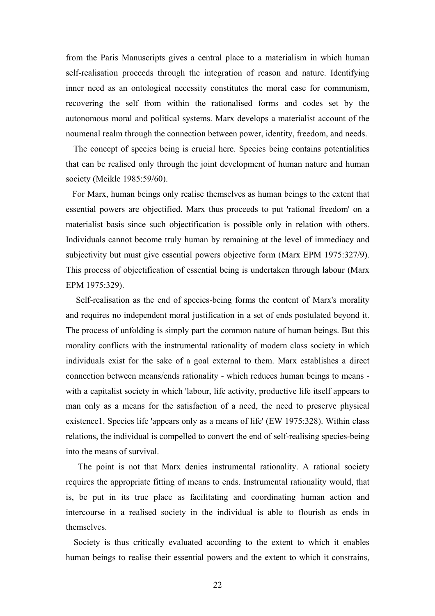from the Paris Manuscripts gives a central place to a materialism in which human self-realisation proceeds through the integration of reason and nature. Identifying inner need as an ontological necessity constitutes the moral case for communism, recovering the self from within the rationalised forms and codes set by the autonomous moral and political systems. Marx develops a materialist account of the noumenal realm through the connection between power, identity, freedom, and needs.

The concept of species being is crucial here. Species being contains potentialities that can be realised only through the joint development of human nature and human society (Meikle 1985:59/60).

For Marx, human beings only realise themselves as human beings to the extent that essential powers are objectified. Marx thus proceeds to put 'rational freedom' on a materialist basis since such objectification is possible only in relation with others. Individuals cannot become truly human by remaining at the level of immediacy and subjectivity but must give essential powers objective form (Marx EPM 1975:327/9). This process of objectification of essential being is undertaken through labour (Marx EPM 1975:329).

Self-realisation as the end of species-being forms the content of Marx's morality and requires no independent moral justification in a set of ends postulated beyond it. The process of unfolding is simply part the common nature of human beings. But this morality conflicts with the instrumental rationality of modern class society in which individuals exist for the sake of a goal external to them. Marx establishes a direct connection between means/ends rationality - which reduces human beings to means with a capitalist society in which 'labour, life activity, productive life itself appears to man only as a means for the satisfaction of a need, the need to preserve physical existence1. Species life 'appears only as a means of life' (EW 1975:328). Within class relations, the individual is compelled to convert the end of self-realising species-being into the means of survival.

The point is not that Marx denies instrumental rationality. A rational society requires the appropriate fitting of means to ends. Instrumental rationality would, that is, be put in its true place as facilitating and coordinating human action and intercourse in a realised society in the individual is able to flourish as ends in themselves.

Society is thus critically evaluated according to the extent to which it enables human beings to realise their essential powers and the extent to which it constrains,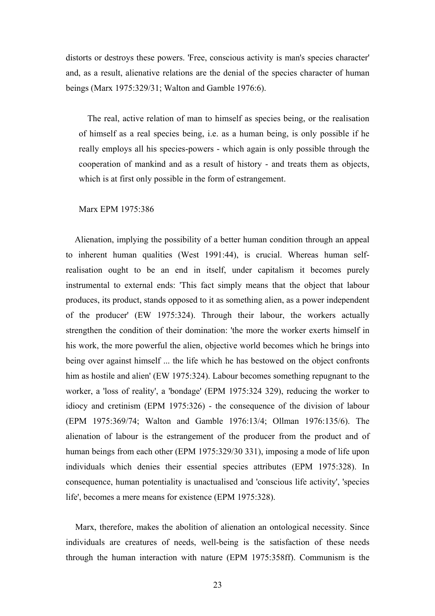distorts or destroys these powers. 'Free, conscious activity is man's species character' and, as a result, alienative relations are the denial of the species character of human beings (Marx 1975:329/31; Walton and Gamble 1976:6).

The real, active relation of man to himself as species being, or the realisation of himself as a real species being, i.e. as a human being, is only possible if he really employs all his species-powers - which again is only possible through the cooperation of mankind and as a result of history - and treats them as objects, which is at first only possible in the form of estrangement.

#### Marx EPM 1975:386

Alienation, implying the possibility of a better human condition through an appeal to inherent human qualities (West 1991:44), is crucial. Whereas human selfrealisation ought to be an end in itself, under capitalism it becomes purely instrumental to external ends: 'This fact simply means that the object that labour produces, its product, stands opposed to it as something alien, as a power independent of the producer' (EW 1975:324). Through their labour, the workers actually strengthen the condition of their domination: 'the more the worker exerts himself in his work, the more powerful the alien, objective world becomes which he brings into being over against himself ... the life which he has bestowed on the object confronts him as hostile and alien' (EW 1975:324). Labour becomes something repugnant to the worker, a 'loss of reality', a 'bondage' (EPM 1975:324 329), reducing the worker to idiocy and cretinism (EPM 1975:326) - the consequence of the division of labour (EPM 1975:369/74; Walton and Gamble 1976:13/4; Ollman 1976:135/6). The alienation of labour is the estrangement of the producer from the product and of human beings from each other (EPM 1975:329/30 331), imposing a mode of life upon individuals which denies their essential species attributes (EPM 1975:328). In consequence, human potentiality is unactualised and 'conscious life activity', 'species life', becomes a mere means for existence (EPM 1975:328).

Marx, therefore, makes the abolition of alienation an ontological necessity. Since individuals are creatures of needs, well-being is the satisfaction of these needs through the human interaction with nature (EPM 1975:358ff). Communism is the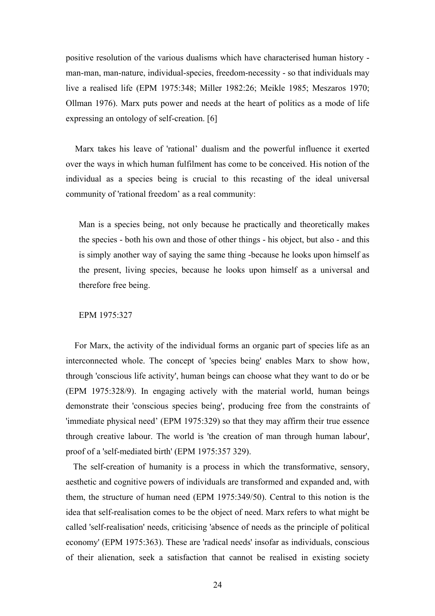positive resolution of the various dualisms which have characterised human history man-man, man-nature, individual-species, freedom-necessity - so that individuals may live a realised life (EPM 1975:348; Miller 1982:26; Meikle 1985; Meszaros 1970; Ollman 1976). Marx puts power and needs at the heart of politics as a mode of life expressing an ontology of self-creation. [6]

Marx takes his leave of 'rational' dualism and the powerful influence it exerted over the ways in which human fulfilment has come to be conceived. His notion of the individual as a species being is crucial to this recasting of the ideal universal community of 'rational freedom' as a real community:

Man is a species being, not only because he practically and theoretically makes the species - both his own and those of other things - his object, but also - and this is simply another way of saying the same thing -because he looks upon himself as the present, living species, because he looks upon himself as a universal and therefore free being.

## EPM 1975:327

For Marx, the activity of the individual forms an organic part of species life as an interconnected whole. The concept of 'species being' enables Marx to show how, through 'conscious life activity', human beings can choose what they want to do or be (EPM 1975:328/9). In engaging actively with the material world, human beings demonstrate their 'conscious species being', producing free from the constraints of 'immediate physical need' (EPM 1975:329) so that they may affirm their true essence through creative labour. The world is 'the creation of man through human labour', proof of a 'self-mediated birth' (EPM 1975:357 329).

The self-creation of humanity is a process in which the transformative, sensory, aesthetic and cognitive powers of individuals are transformed and expanded and, with them, the structure of human need (EPM 1975:349/50). Central to this notion is the idea that self-realisation comes to be the object of need. Marx refers to what might be called 'self-realisation' needs, criticising 'absence of needs as the principle of political economy' (EPM 1975:363). These are 'radical needs' insofar as individuals, conscious of their alienation, seek a satisfaction that cannot be realised in existing society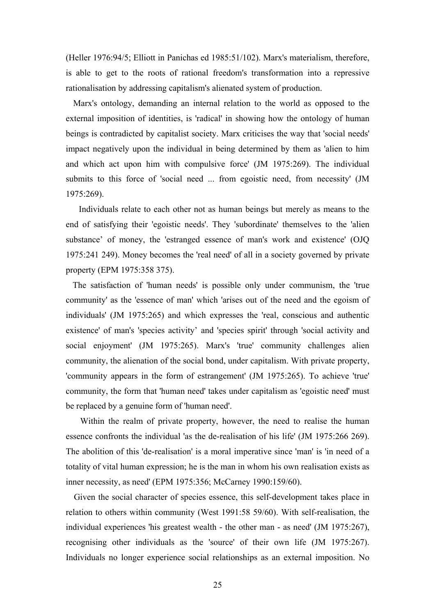(Heller 1976:94/5; Elliott in Panichas ed 1985:51/102). Marx's materialism, therefore, is able to get to the roots of rational freedom's transformation into a repressive rationalisation by addressing capitalism's alienated system of production.

Marx's ontology, demanding an internal relation to the world as opposed to the external imposition of identities, is 'radical' in showing how the ontology of human beings is contradicted by capitalist society. Marx criticises the way that 'social needs' impact negatively upon the individual in being determined by them as 'alien to him and which act upon him with compulsive force' (JM 1975:269). The individual submits to this force of 'social need ... from egoistic need, from necessity' (JM 1975:269).

Individuals relate to each other not as human beings but merely as means to the end of satisfying their 'egoistic needs'. They 'subordinate' themselves to the 'alien substance' of money, the 'estranged essence of man's work and existence' (OJQ 1975:241 249). Money becomes the 'real need' of all in a society governed by private property (EPM 1975:358 375).

The satisfaction of 'human needs' is possible only under communism, the 'true community' as the 'essence of man' which 'arises out of the need and the egoism of individuals' (JM 1975:265) and which expresses the 'real, conscious and authentic existence' of man's 'species activity' and 'species spirit' through 'social activity and social enjoyment' (JM 1975:265). Marx's 'true' community challenges alien community, the alienation of the social bond, under capitalism. With private property, 'community appears in the form of estrangement' (JM 1975:265). To achieve 'true' community, the form that 'human need' takes under capitalism as 'egoistic need' must be replaced by a genuine form of 'human need'.

Within the realm of private property, however, the need to realise the human essence confronts the individual 'as the de-realisation of his life' (JM 1975:266 269). The abolition of this 'de-realisation' is a moral imperative since 'man' is 'in need of a totality of vital human expression; he is the man in whom his own realisation exists as inner necessity, as need' (EPM 1975:356; McCarney 1990:159/60).

Given the social character of species essence, this self-development takes place in relation to others within community (West 1991:58 59/60). With self-realisation, the individual experiences 'his greatest wealth - the other man - as need' (JM 1975:267), recognising other individuals as the 'source' of their own life (JM 1975:267). Individuals no longer experience social relationships as an external imposition. No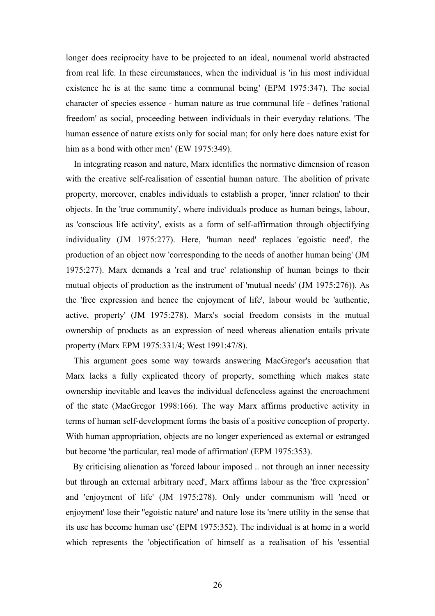longer does reciprocity have to be projected to an ideal, noumenal world abstracted from real life. In these circumstances, when the individual is 'in his most individual existence he is at the same time a communal being' (EPM 1975:347). The social character of species essence - human nature as true communal life - defines 'rational freedom' as social, proceeding between individuals in their everyday relations. 'The human essence of nature exists only for social man; for only here does nature exist for him as a bond with other men' (EW 1975:349).

In integrating reason and nature, Marx identifies the normative dimension of reason with the creative self-realisation of essential human nature. The abolition of private property, moreover, enables individuals to establish a proper, 'inner relation' to their objects. In the 'true community', where individuals produce as human beings, labour, as 'conscious life activity', exists as a form of self-affirmation through objectifying individuality (JM 1975:277). Here, 'human need' replaces 'egoistic need', the production of an object now 'corresponding to the needs of another human being' (JM 1975:277). Marx demands a 'real and true' relationship of human beings to their mutual objects of production as the instrument of 'mutual needs' (JM 1975:276)). As the 'free expression and hence the enjoyment of life', labour would be 'authentic, active, property' (JM 1975:278). Marx's social freedom consists in the mutual ownership of products as an expression of need whereas alienation entails private property (Marx EPM 1975:331/4; West 1991:47/8).

This argument goes some way towards answering MacGregor's accusation that Marx lacks a fully explicated theory of property, something which makes state ownership inevitable and leaves the individual defenceless against the encroachment of the state (MacGregor 1998:166). The way Marx affirms productive activity in terms of human self-development forms the basis of a positive conception of property. With human appropriation, objects are no longer experienced as external or estranged but become 'the particular, real mode of affirmation' (EPM 1975:353).

By criticising alienation as 'forced labour imposed .. not through an inner necessity but through an external arbitrary need', Marx affirms labour as the 'free expression' and 'enjoyment of life' (JM 1975:278). Only under communism will 'need or enjoyment' lose their ''egoistic nature' and nature lose its 'mere utility in the sense that its use has become human use' (EPM 1975:352). The individual is at home in a world which represents the 'objectification of himself as a realisation of his 'essential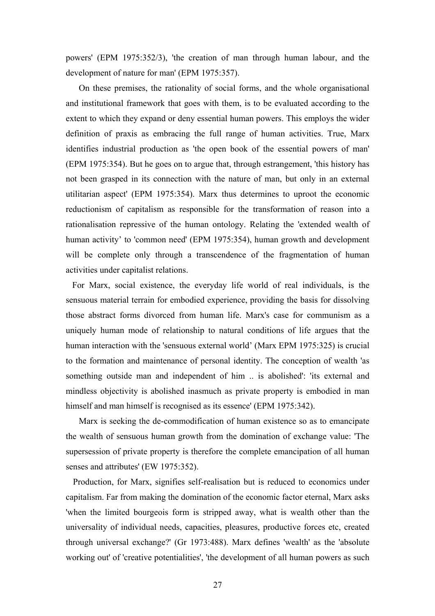powers' (EPM 1975:352/3), 'the creation of man through human labour, and the development of nature for man' (EPM 1975:357).

On these premises, the rationality of social forms, and the whole organisational and institutional framework that goes with them, is to be evaluated according to the extent to which they expand or deny essential human powers. This employs the wider definition of praxis as embracing the full range of human activities. True, Marx identifies industrial production as 'the open book of the essential powers of man' (EPM 1975:354). But he goes on to argue that, through estrangement, 'this history has not been grasped in its connection with the nature of man, but only in an external utilitarian aspect' (EPM 1975:354). Marx thus determines to uproot the economic reductionism of capitalism as responsible for the transformation of reason into a rationalisation repressive of the human ontology. Relating the 'extended wealth of human activity' to 'common need' (EPM 1975:354), human growth and development will be complete only through a transcendence of the fragmentation of human activities under capitalist relations.

For Marx, social existence, the everyday life world of real individuals, is the sensuous material terrain for embodied experience, providing the basis for dissolving those abstract forms divorced from human life. Marx's case for communism as a uniquely human mode of relationship to natural conditions of life argues that the human interaction with the 'sensuous external world' (Marx EPM 1975:325) is crucial to the formation and maintenance of personal identity. The conception of wealth 'as something outside man and independent of him .. is abolished': 'its external and mindless objectivity is abolished inasmuch as private property is embodied in man himself and man himself is recognised as its essence' (EPM 1975:342).

Marx is seeking the de-commodification of human existence so as to emancipate the wealth of sensuous human growth from the domination of exchange value: 'The supersession of private property is therefore the complete emancipation of all human senses and attributes' (EW 1975:352).

Production, for Marx, signifies self-realisation but is reduced to economics under capitalism. Far from making the domination of the economic factor eternal, Marx asks 'when the limited bourgeois form is stripped away, what is wealth other than the universality of individual needs, capacities, pleasures, productive forces etc, created through universal exchange?' (Gr 1973:488). Marx defines 'wealth' as the 'absolute working out' of 'creative potentialities', 'the development of all human powers as such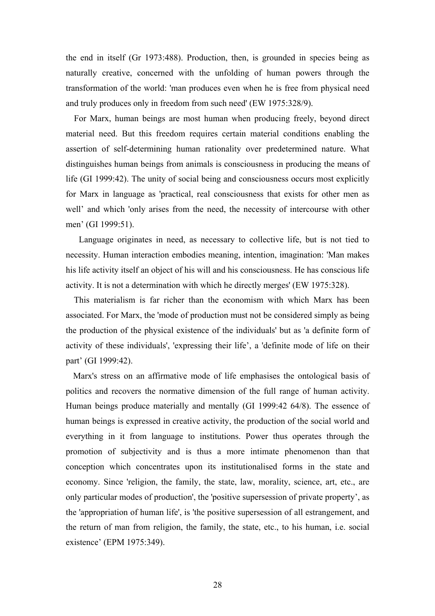the end in itself (Gr 1973:488). Production, then, is grounded in species being as naturally creative, concerned with the unfolding of human powers through the transformation of the world: 'man produces even when he is free from physical need and truly produces only in freedom from such need' (EW 1975:328/9).

For Marx, human beings are most human when producing freely, beyond direct material need. But this freedom requires certain material conditions enabling the assertion of self-determining human rationality over predetermined nature. What distinguishes human beings from animals is consciousness in producing the means of life (GI 1999:42). The unity of social being and consciousness occurs most explicitly for Marx in language as 'practical, real consciousness that exists for other men as well' and which 'only arises from the need, the necessity of intercourse with other men' (GI 1999:51).

Language originates in need, as necessary to collective life, but is not tied to necessity. Human interaction embodies meaning, intention, imagination: 'Man makes his life activity itself an object of his will and his consciousness. He has conscious life activity. It is not a determination with which he directly merges' (EW 1975:328).

This materialism is far richer than the economism with which Marx has been associated. For Marx, the 'mode of production must not be considered simply as being the production of the physical existence of the individuals' but as 'a definite form of activity of these individuals', 'expressing their life', a 'definite mode of life on their part' (GI 1999:42).

Marx's stress on an affirmative mode of life emphasises the ontological basis of politics and recovers the normative dimension of the full range of human activity. Human beings produce materially and mentally (GI 1999:42 64/8). The essence of human beings is expressed in creative activity, the production of the social world and everything in it from language to institutions. Power thus operates through the promotion of subjectivity and is thus a more intimate phenomenon than that conception which concentrates upon its institutionalised forms in the state and economy. Since 'religion, the family, the state, law, morality, science, art, etc., are only particular modes of production', the 'positive supersession of private property', as the 'appropriation of human life', is 'the positive supersession of all estrangement, and the return of man from religion, the family, the state, etc., to his human, i.e. social existence' (EPM 1975:349).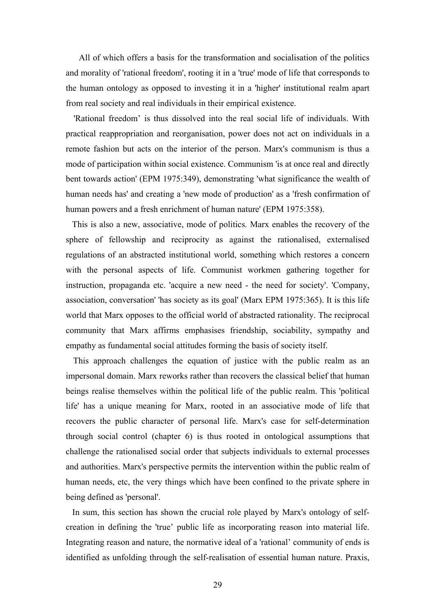All of which offers a basis for the transformation and socialisation of the politics and morality of 'rational freedom', rooting it in a 'true' mode of life that corresponds to the human ontology as opposed to investing it in a 'higher' institutional realm apart from real society and real individuals in their empirical existence.

'Rational freedom' is thus dissolved into the real social life of individuals. With practical reappropriation and reorganisation, power does not act on individuals in a remote fashion but acts on the interior of the person. Marx's communism is thus a mode of participation within social existence. Communism 'is at once real and directly bent towards action' (EPM 1975:349), demonstrating 'what significance the wealth of human needs has' and creating a 'new mode of production' as a 'fresh confirmation of human powers and a fresh enrichment of human nature' (EPM 1975:358).

This is also a new, associative, mode of politics. Marx enables the recovery of the sphere of fellowship and reciprocity as against the rationalised, externalised regulations of an abstracted institutional world, something which restores a concern with the personal aspects of life. Communist workmen gathering together for instruction, propaganda etc. 'acquire a new need - the need for society'. 'Company, association, conversation' 'has society as its goal' (Marx EPM 1975:365). It is this life world that Marx opposes to the official world of abstracted rationality. The reciprocal community that Marx affirms emphasises friendship, sociability, sympathy and empathy as fundamental social attitudes forming the basis of society itself.

This approach challenges the equation of justice with the public realm as an impersonal domain. Marx reworks rather than recovers the classical belief that human beings realise themselves within the political life of the public realm. This 'political life' has a unique meaning for Marx, rooted in an associative mode of life that recovers the public character of personal life. Marx's case for self-determination through social control (chapter 6) is thus rooted in ontological assumptions that challenge the rationalised social order that subjects individuals to external processes and authorities. Marx's perspective permits the intervention within the public realm of human needs, etc, the very things which have been confined to the private sphere in being defined as 'personal'.

In sum, this section has shown the crucial role played by Marx's ontology of selfcreation in defining the 'true' public life as incorporating reason into material life. Integrating reason and nature, the normative ideal of a 'rational' community of ends is identified as unfolding through the self-realisation of essential human nature. Praxis,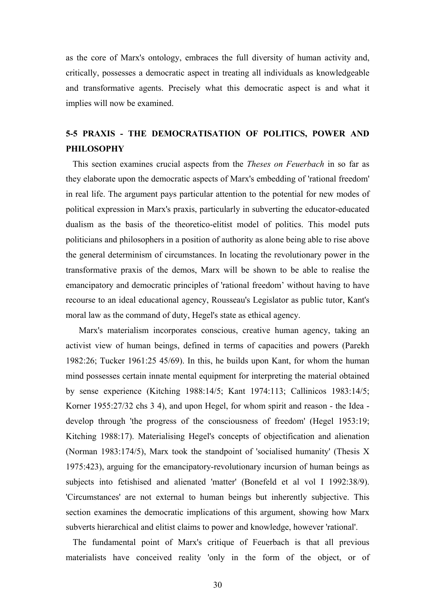as the core of Marx's ontology, embraces the full diversity of human activity and, critically, possesses a democratic aspect in treating all individuals as knowledgeable and transformative agents. Precisely what this democratic aspect is and what it implies will now be examined.

# **5-5 PRAXIS - THE DEMOCRATISATION OF POLITICS, POWER AND PHILOSOPHY**

This section examines crucial aspects from the *Theses on Feuerbach* in so far as they elaborate upon the democratic aspects of Marx's embedding of 'rational freedom' in real life. The argument pays particular attention to the potential for new modes of political expression in Marx's praxis, particularly in subverting the educator-educated dualism as the basis of the theoretico-elitist model of politics. This model puts politicians and philosophers in a position of authority as alone being able to rise above the general determinism of circumstances. In locating the revolutionary power in the transformative praxis of the demos, Marx will be shown to be able to realise the emancipatory and democratic principles of 'rational freedom' without having to have recourse to an ideal educational agency, Rousseau's Legislator as public tutor, Kant's moral law as the command of duty, Hegel's state as ethical agency.

Marx's materialism incorporates conscious, creative human agency, taking an activist view of human beings, defined in terms of capacities and powers (Parekh 1982:26; Tucker 1961:25 45/69). In this, he builds upon Kant, for whom the human mind possesses certain innate mental equipment for interpreting the material obtained by sense experience (Kitching 1988:14/5; Kant 1974:113; Callinicos 1983:14/5; Korner 1955:27/32 chs 3 4), and upon Hegel, for whom spirit and reason - the Idea develop through 'the progress of the consciousness of freedom' (Hegel 1953:19; Kitching 1988:17). Materialising Hegel's concepts of objectification and alienation (Norman 1983:174/5), Marx took the standpoint of 'socialised humanity' (Thesis X 1975:423), arguing for the emancipatory-revolutionary incursion of human beings as subjects into fetishised and alienated 'matter' (Bonefeld et al vol I 1992:38/9). 'Circumstances' are not external to human beings but inherently subjective. This section examines the democratic implications of this argument, showing how Marx subverts hierarchical and elitist claims to power and knowledge, however 'rational'.

The fundamental point of Marx's critique of Feuerbach is that all previous materialists have conceived reality 'only in the form of the object, or of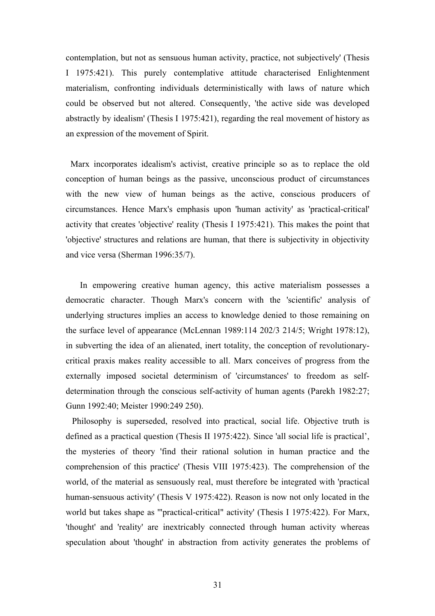contemplation, but not as sensuous human activity, practice, not subjectively' (Thesis I 1975:421). This purely contemplative attitude characterised Enlightenment materialism, confronting individuals deterministically with laws of nature which could be observed but not altered. Consequently, 'the active side was developed abstractly by idealism' (Thesis I 1975:421), regarding the real movement of history as an expression of the movement of Spirit.

Marx incorporates idealism's activist, creative principle so as to replace the old conception of human beings as the passive, unconscious product of circumstances with the new view of human beings as the active, conscious producers of circumstances. Hence Marx's emphasis upon 'human activity' as 'practical-critical' activity that creates 'objective' reality (Thesis I 1975:421). This makes the point that 'objective' structures and relations are human, that there is subjectivity in objectivity and vice versa (Sherman 1996:35/7).

In empowering creative human agency, this active materialism possesses a democratic character. Though Marx's concern with the 'scientific' analysis of underlying structures implies an access to knowledge denied to those remaining on the surface level of appearance (McLennan 1989:114 202/3 214/5; Wright 1978:12), in subverting the idea of an alienated, inert totality, the conception of revolutionarycritical praxis makes reality accessible to all. Marx conceives of progress from the externally imposed societal determinism of 'circumstances' to freedom as selfdetermination through the conscious self-activity of human agents (Parekh 1982:27; Gunn 1992:40; Meister 1990:249 250).

Philosophy is superseded, resolved into practical, social life. Objective truth is defined as a practical question (Thesis II 1975:422). Since 'all social life is practical', the mysteries of theory 'find their rational solution in human practice and the comprehension of this practice' (Thesis VIII 1975:423). The comprehension of the world, of the material as sensuously real, must therefore be integrated with 'practical human-sensuous activity' (Thesis V 1975:422). Reason is now not only located in the world but takes shape as '"practical-critical" activity' (Thesis I 1975:422). For Marx, 'thought' and 'reality' are inextricably connected through human activity whereas speculation about 'thought' in abstraction from activity generates the problems of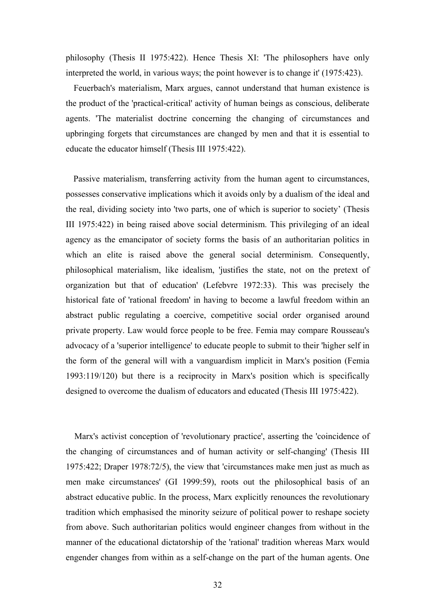philosophy (Thesis II 1975:422). Hence Thesis XI: 'The philosophers have only interpreted the world, in various ways; the point however is to change it' (1975:423).

Feuerbach's materialism, Marx argues, cannot understand that human existence is the product of the 'practical-critical' activity of human beings as conscious, deliberate agents. 'The materialist doctrine concerning the changing of circumstances and upbringing forgets that circumstances are changed by men and that it is essential to educate the educator himself (Thesis III 1975:422).

Passive materialism, transferring activity from the human agent to circumstances, possesses conservative implications which it avoids only by a dualism of the ideal and the real, dividing society into 'two parts, one of which is superior to society' (Thesis III 1975:422) in being raised above social determinism. This privileging of an ideal agency as the emancipator of society forms the basis of an authoritarian politics in which an elite is raised above the general social determinism. Consequently, philosophical materialism, like idealism, 'justifies the state, not on the pretext of organization but that of education' (Lefebvre 1972:33). This was precisely the historical fate of 'rational freedom' in having to become a lawful freedom within an abstract public regulating a coercive, competitive social order organised around private property. Law would force people to be free. Femia may compare Rousseau's advocacy of a 'superior intelligence' to educate people to submit to their 'higher self in the form of the general will with a vanguardism implicit in Marx's position (Femia 1993:119/120) but there is a reciprocity in Marx's position which is specifically designed to overcome the dualism of educators and educated (Thesis III 1975:422).

Marx's activist conception of 'revolutionary practice', asserting the 'coincidence of the changing of circumstances and of human activity or self-changing' (Thesis III 1975:422; Draper 1978:72/5), the view that 'circumstances make men just as much as men make circumstances' (GI 1999:59), roots out the philosophical basis of an abstract educative public. In the process, Marx explicitly renounces the revolutionary tradition which emphasised the minority seizure of political power to reshape society from above. Such authoritarian politics would engineer changes from without in the manner of the educational dictatorship of the 'rational' tradition whereas Marx would engender changes from within as a self-change on the part of the human agents. One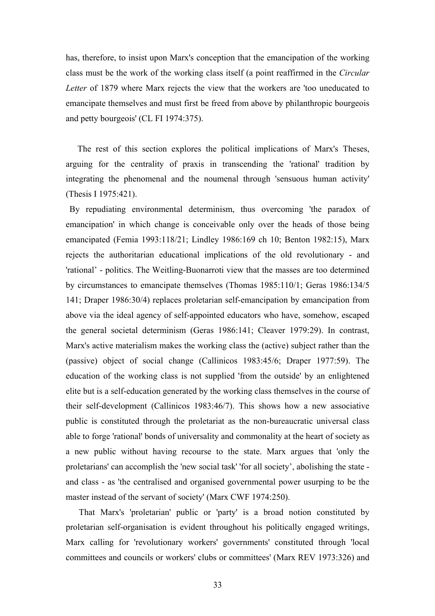has, therefore, to insist upon Marx's conception that the emancipation of the working class must be the work of the working class itself (a point reaffirmed in the *Circular Letter* of 1879 where Marx rejects the view that the workers are 'too uneducated to emancipate themselves and must first be freed from above by philanthropic bourgeois and petty bourgeois' (CL FI 1974:375).

The rest of this section explores the political implications of Marx's Theses, arguing for the centrality of praxis in transcending the 'rational' tradition by integrating the phenomenal and the noumenal through 'sensuous human activity' (Thesis I 1975:421).

By repudiating environmental determinism, thus overcoming 'the paradox of emancipation' in which change is conceivable only over the heads of those being emancipated (Femia 1993:118/21; Lindley 1986:169 ch 10; Benton 1982:15), Marx rejects the authoritarian educational implications of the old revolutionary - and 'rational' - politics. The Weitling-Buonarroti view that the masses are too determined by circumstances to emancipate themselves (Thomas 1985:110/1; Geras 1986:134/5 141; Draper 1986:30/4) replaces proletarian self-emancipation by emancipation from above via the ideal agency of self-appointed educators who have, somehow, escaped the general societal determinism (Geras 1986:141; Cleaver 1979:29). In contrast, Marx's active materialism makes the working class the (active) subject rather than the (passive) object of social change (Callinicos 1983:45/6; Draper 1977:59). The education of the working class is not supplied 'from the outside' by an enlightened elite but is a self-education generated by the working class themselves in the course of their self-development (Callinicos 1983:46/7). This shows how a new associative public is constituted through the proletariat as the non-bureaucratic universal class able to forge 'rational' bonds of universality and commonality at the heart of society as a new public without having recourse to the state. Marx argues that 'only the proletarians' can accomplish the 'new social task' 'for all society', abolishing the state and class - as 'the centralised and organised governmental power usurping to be the master instead of the servant of society' (Marx CWF 1974:250).

That Marx's 'proletarian' public or 'party' is a broad notion constituted by proletarian self-organisation is evident throughout his politically engaged writings, Marx calling for 'revolutionary workers' governments' constituted through 'local committees and councils or workers' clubs or committees' (Marx REV 1973:326) and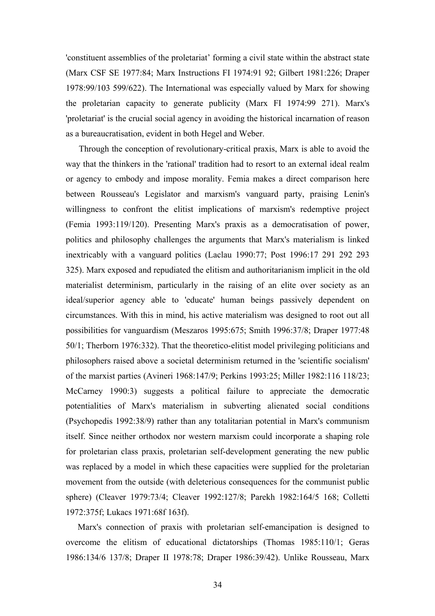'constituent assemblies of the proletariat' forming a civil state within the abstract state (Marx CSF SE 1977:84; Marx Instructions FI 1974:91 92; Gilbert 1981:226; Draper 1978:99/103 599/622). The International was especially valued by Marx for showing the proletarian capacity to generate publicity (Marx FI 1974:99 271). Marx's 'proletariat' is the crucial social agency in avoiding the historical incarnation of reason as a bureaucratisation, evident in both Hegel and Weber.

Through the conception of revolutionary-critical praxis, Marx is able to avoid the way that the thinkers in the 'rational' tradition had to resort to an external ideal realm or agency to embody and impose morality. Femia makes a direct comparison here between Rousseau's Legislator and marxism's vanguard party, praising Lenin's willingness to confront the elitist implications of marxism's redemptive project (Femia 1993:119/120). Presenting Marx's praxis as a democratisation of power, politics and philosophy challenges the arguments that Marx's materialism is linked inextricably with a vanguard politics (Laclau 1990:77; Post 1996:17 291 292 293 325). Marx exposed and repudiated the elitism and authoritarianism implicit in the old materialist determinism, particularly in the raising of an elite over society as an ideal/superior agency able to 'educate' human beings passively dependent on circumstances. With this in mind, his active materialism was designed to root out all possibilities for vanguardism (Meszaros 1995:675; Smith 1996:37/8; Draper 1977:48 50/1; Therborn 1976:332). That the theoretico-elitist model privileging politicians and philosophers raised above a societal determinism returned in the 'scientific socialism' of the marxist parties (Avineri 1968:147/9; Perkins 1993:25; Miller 1982:116 118/23; McCarney 1990:3) suggests a political failure to appreciate the democratic potentialities of Marx's materialism in subverting alienated social conditions (Psychopedis 1992:38/9) rather than any totalitarian potential in Marx's communism itself. Since neither orthodox nor western marxism could incorporate a shaping role for proletarian class praxis, proletarian self-development generating the new public was replaced by a model in which these capacities were supplied for the proletarian movement from the outside (with deleterious consequences for the communist public sphere) (Cleaver 1979:73/4; Cleaver 1992:127/8; Parekh 1982:164/5 168; Colletti 1972:375f; Lukacs 1971:68f 163f).

Marx's connection of praxis with proletarian self-emancipation is designed to overcome the elitism of educational dictatorships (Thomas 1985:110/1; Geras 1986:134/6 137/8; Draper II 1978:78; Draper 1986:39/42). Unlike Rousseau, Marx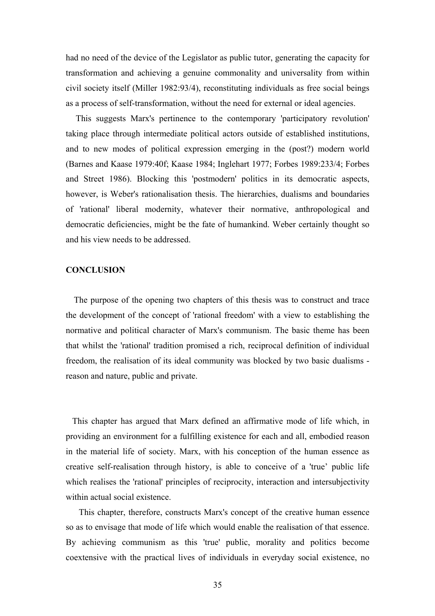had no need of the device of the Legislator as public tutor, generating the capacity for transformation and achieving a genuine commonality and universality from within civil society itself (Miller 1982:93/4), reconstituting individuals as free social beings as a process of self-transformation, without the need for external or ideal agencies.

This suggests Marx's pertinence to the contemporary 'participatory revolution' taking place through intermediate political actors outside of established institutions, and to new modes of political expression emerging in the (post?) modern world (Barnes and Kaase 1979:40f; Kaase 1984; Inglehart 1977; Forbes 1989:233/4; Forbes and Street 1986). Blocking this 'postmodern' politics in its democratic aspects, however, is Weber's rationalisation thesis. The hierarchies, dualisms and boundaries of 'rational' liberal modernity, whatever their normative, anthropological and democratic deficiencies, might be the fate of humankind. Weber certainly thought so and his view needs to be addressed.

# **CONCLUSION**

The purpose of the opening two chapters of this thesis was to construct and trace the development of the concept of 'rational freedom' with a view to establishing the normative and political character of Marx's communism. The basic theme has been that whilst the 'rational' tradition promised a rich, reciprocal definition of individual freedom, the realisation of its ideal community was blocked by two basic dualisms reason and nature, public and private.

This chapter has argued that Marx defined an affirmative mode of life which, in providing an environment for a fulfilling existence for each and all, embodied reason in the material life of society. Marx, with his conception of the human essence as creative self-realisation through history, is able to conceive of a 'true' public life which realises the 'rational' principles of reciprocity, interaction and intersubjectivity within actual social existence.

This chapter, therefore, constructs Marx's concept of the creative human essence so as to envisage that mode of life which would enable the realisation of that essence. By achieving communism as this 'true' public, morality and politics become coextensive with the practical lives of individuals in everyday social existence, no